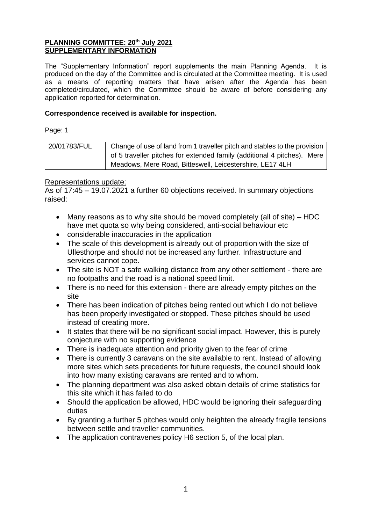### **PLANNING COMMITTEE: 20th July 2021 SUPPLEMENTARY INFORMATION**

The "Supplementary Information" report supplements the main Planning Agenda. It is produced on the day of the Committee and is circulated at the Committee meeting. It is used as a means of reporting matters that have arisen after the Agenda has been completed/circulated, which the Committee should be aware of before considering any application reported for determination.

## **Correspondence received is available for inspection.**

Page: 1

| 20/01783/FUL | Change of use of land from 1 traveller pitch and stables to the provision |
|--------------|---------------------------------------------------------------------------|
|              | of 5 traveller pitches for extended family (additional 4 pitches). Mere   |
|              | Meadows, Mere Road, Bitteswell, Leicestershire, LE17 4LH                  |

## Representations update:

As of 17:45 – 19.07.2021 a further 60 objections received. In summary objections raised:

- Many reasons as to why site should be moved completely (all of site) HDC have met quota so why being considered, anti-social behaviour etc
- considerable inaccuracies in the application
- The scale of this development is already out of proportion with the size of Ullesthorpe and should not be increased any further. Infrastructure and services cannot cope.
- The site is NOT a safe walking distance from any other settlement there are no footpaths and the road is a national speed limit.
- There is no need for this extension there are already empty pitches on the site
- There has been indication of pitches being rented out which I do not believe has been properly investigated or stopped. These pitches should be used instead of creating more.
- It states that there will be no significant social impact. However, this is purely conjecture with no supporting evidence
- There is inadequate attention and priority given to the fear of crime
- There is currently 3 caravans on the site available to rent. Instead of allowing more sites which sets precedents for future requests, the council should look into how many existing caravans are rented and to whom.
- The planning department was also asked obtain details of crime statistics for this site which it has failed to do
- Should the application be allowed, HDC would be ignoring their safeguarding duties
- By granting a further 5 pitches would only heighten the already fragile tensions between settle and traveller communities.
- The application contravenes policy H6 section 5, of the local plan.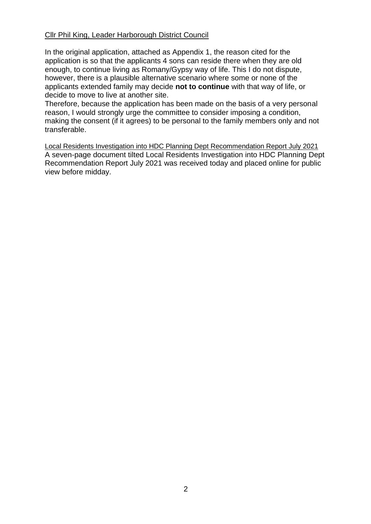# Cllr Phil King, Leader Harborough District Council

In the original application, attached as Appendix 1, the reason cited for the application is so that the applicants 4 sons can reside there when they are old enough, to continue living as Romany/Gypsy way of life. This I do not dispute, however, there is a plausible alternative scenario where some or none of the applicants extended family may decide **not to continue** with that way of life, or decide to move to live at another site.

Therefore, because the application has been made on the basis of a very personal reason, I would strongly urge the committee to consider imposing a condition, making the consent (if it agrees) to be personal to the family members only and not transferable.

Local Residents Investigation into HDC Planning Dept Recommendation Report July 2021 A seven-page document tilted Local Residents Investigation into HDC Planning Dept Recommendation Report July 2021 was received today and placed online for public view before midday.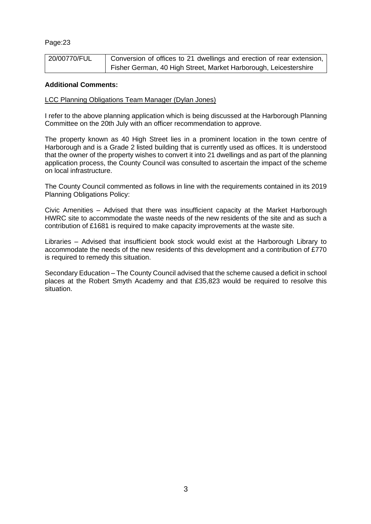| 20/00770/FUL | Conversion of offices to 21 dwellings and erection of rear extension, |
|--------------|-----------------------------------------------------------------------|
|              | Fisher German, 40 High Street, Market Harborough, Leicestershire      |

#### **Additional Comments:**

### LCC Planning Obligations Team Manager (Dylan Jones)

I refer to the above planning application which is being discussed at the Harborough Planning Committee on the 20th July with an officer recommendation to approve.

The property known as 40 High Street lies in a prominent location in the town centre of Harborough and is a Grade 2 listed building that is currently used as offices. It is understood that the owner of the property wishes to convert it into 21 dwellings and as part of the planning application process, the County Council was consulted to ascertain the impact of the scheme on local infrastructure.

The County Council commented as follows in line with the requirements contained in its 2019 Planning Obligations Policy:

Civic Amenities – Advised that there was insufficient capacity at the Market Harborough HWRC site to accommodate the waste needs of the new residents of the site and as such a contribution of £1681 is required to make capacity improvements at the waste site.

Libraries – Advised that insufficient book stock would exist at the Harborough Library to accommodate the needs of the new residents of this development and a contribution of £770 is required to remedy this situation.

Secondary Education – The County Council advised that the scheme caused a deficit in school places at the Robert Smyth Academy and that £35,823 would be required to resolve this situation.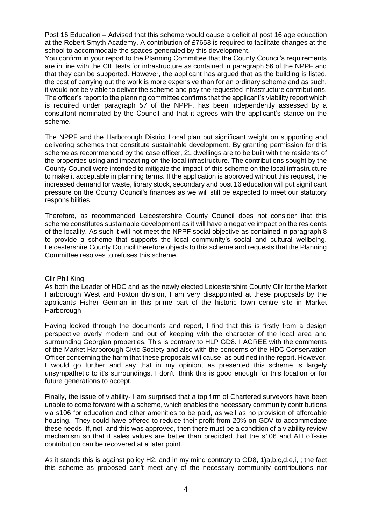Post 16 Education – Advised that this scheme would cause a deficit at post 16 age education at the Robert Smyth Academy. A contribution of £7653 is required to facilitate changes at the school to accommodate the spaces generated by this development.

You confirm in your report to the Planning Committee that the County Council's requirements are in line with the CIL tests for infrastructure as contained in paragraph 56 of the NPPF and that they can be supported. However, the applicant has argued that as the building is listed, the cost of carrying out the work is more expensive than for an ordinary scheme and as such, it would not be viable to deliver the scheme and pay the requested infrastructure contributions. The officer's report to the planning committee confirms that the applicant's viability report which is required under paragraph 57 of the NPPF, has been independently assessed by a consultant nominated by the Council and that it agrees with the applicant's stance on the scheme.

The NPPF and the Harborough District Local plan put significant weight on supporting and delivering schemes that constitute sustainable development. By granting permission for this scheme as recommended by the case officer, 21 dwellings are to be built with the residents of the properties using and impacting on the local infrastructure. The contributions sought by the County Council were intended to mitigate the impact of this scheme on the local infrastructure to make it acceptable in planning terms. If the application is approved without this request, the increased demand for waste, library stock, secondary and post 16 education will put significant pressure on the County Council's finances as we will still be expected to meet our statutory responsibilities.

Therefore, as recommended Leicestershire County Council does not consider that this scheme constitutes sustainable development as it will have a negative impact on the residents of the locality. As such it will not meet the NPPF social objective as contained in paragraph 8 to provide a scheme that supports the local community's social and cultural wellbeing. Leicestershire County Council therefore objects to this scheme and requests that the Planning Committee resolves to refuses this scheme.

#### Cllr Phil King

As both the Leader of HDC and as the newly elected Leicestershire County Cllr for the Market Harborough West and Foxton division, I am very disappointed at these proposals by the applicants Fisher German in this prime part of the historic town centre site in Market **Harborough** 

Having looked through the documents and report, I find that this is firstly from a design perspective overly modern and out of keeping with the character of the local area and surrounding Georgian properties. This is contrary to HLP GD8. I AGREE with the comments of the Market Harborough Civic Society and also with the concerns of the HDC Conservation Officer concerning the harm that these proposals will cause, as outlined in the report. However, I would go further and say that in my opinion, as presented this scheme is largely unsympathetic to it's surroundings. I don't think this is good enough for this location or for future generations to accept.

Finally, the issue of viability- I am surprised that a top firm of Chartered surveyors have been unable to come forward with a scheme, which enables the necessary community contributions via s106 for education and other amenities to be paid, as well as no provision of affordable housing. They could have offered to reduce their profit from 20% on GDV to accommodate these needs. If, not and this was approved, then there must be a condition of a viability review mechanism so that if sales values are better than predicted that the s106 and AH off-site contribution can be recovered at a later point.

As it stands this is against policy H2, and in my mind contrary to GD8, 1)a,b,c,d,e,i, ; the fact this scheme as proposed can't meet any of the necessary community contributions nor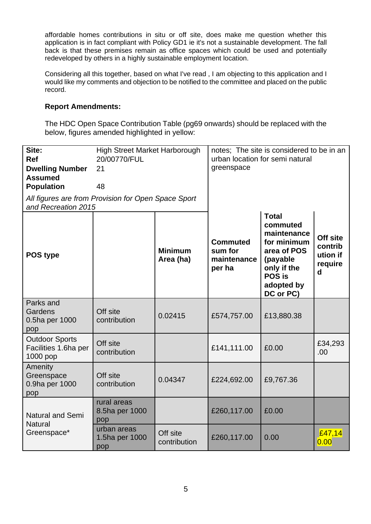affordable homes contributions in situ or off site, does make me question whether this application is in fact compliant with Policy GD1 ie it's not a sustainable development. The fall back is that these premises remain as office spaces which could be used and potentially redeveloped by others in a highly sustainable employment location.

Considering all this together, based on what I've read , I am objecting to this application and I would like my comments and objection to be notified to the committee and placed on the public record.

# **Report Amendments:**

The HDC Open Space Contribution Table (pg69 onwards) should be replaced with the below, figures amended highlighted in yellow:

| Site:<br><b>Ref</b><br><b>Dwelling Number</b><br><b>Assumed</b><br><b>Population</b><br>All figures are from Provision for Open Space Sport<br>and Recreation 2015 | <b>High Street Market Harborough</b><br>20/00770/FUL<br>21<br>48 |                             | greenspace                                          | notes: The site is considered to be in an<br>urban location for semi natural                                                          |                                                 |
|--------------------------------------------------------------------------------------------------------------------------------------------------------------------|------------------------------------------------------------------|-----------------------------|-----------------------------------------------------|---------------------------------------------------------------------------------------------------------------------------------------|-------------------------------------------------|
| POS type                                                                                                                                                           |                                                                  | <b>Minimum</b><br>Area (ha) | <b>Commuted</b><br>sum for<br>maintenance<br>per ha | <b>Total</b><br>commuted<br>maintenance<br>for minimum<br>area of POS<br>(payable<br>only if the<br>POS is<br>adopted by<br>DC or PC) | Off site<br>contrib<br>ution if<br>require<br>d |
| Parks and<br>Gardens<br>0.5ha per 1000<br>pop                                                                                                                      | Off site<br>contribution                                         | 0.02415                     | £574,757.00                                         | £13,880.38                                                                                                                            |                                                 |
| <b>Outdoor Sports</b><br>Facilities 1.6ha per<br>1000 pop                                                                                                          | Off site<br>contribution                                         |                             | £141,111.00                                         | £0.00                                                                                                                                 | £34,293<br>.00                                  |
| Amenity<br>Greenspace<br>0.9ha per 1000<br>pop                                                                                                                     | Off site<br>contribution                                         | 0.04347                     | £224,692.00                                         | £9,767.36                                                                                                                             |                                                 |
| <b>Natural and Semi</b><br><b>Natural</b>                                                                                                                          | rural areas<br>8.5ha per 1000<br>pop                             |                             | £260,117.00                                         | £0.00                                                                                                                                 |                                                 |
| Greenspace*                                                                                                                                                        | urban areas<br>1.5ha per 1000<br>pop                             | Off site<br>contribution    | £260,117.00                                         | 0.00                                                                                                                                  | £47,14<br>0.00                                  |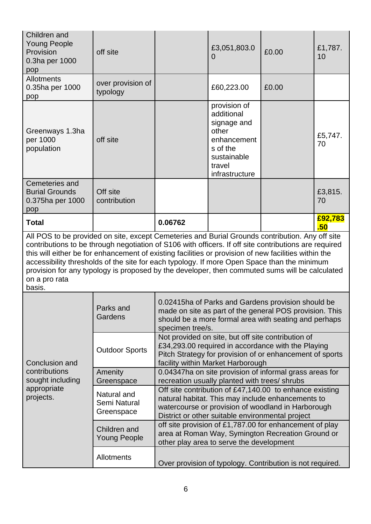| Children and<br><b>Young People</b><br>Provision<br>0.3ha per 1000<br>pop                                                                                                                                                                                                                                                                                                                                                                                                                                                                    | off site                                  |                                                                                                                                                                                                                        | £3,051,803.0<br>0                                                                                                        | £0.00                                                                                                                                                                  | £1,787.<br>10  |
|----------------------------------------------------------------------------------------------------------------------------------------------------------------------------------------------------------------------------------------------------------------------------------------------------------------------------------------------------------------------------------------------------------------------------------------------------------------------------------------------------------------------------------------------|-------------------------------------------|------------------------------------------------------------------------------------------------------------------------------------------------------------------------------------------------------------------------|--------------------------------------------------------------------------------------------------------------------------|------------------------------------------------------------------------------------------------------------------------------------------------------------------------|----------------|
| <b>Allotments</b><br>0.35ha per 1000<br>pop                                                                                                                                                                                                                                                                                                                                                                                                                                                                                                  | over provision of<br>typology             |                                                                                                                                                                                                                        | £60,223.00                                                                                                               | £0.00                                                                                                                                                                  |                |
| Greenways 1.3ha<br>per 1000<br>population                                                                                                                                                                                                                                                                                                                                                                                                                                                                                                    | off site                                  |                                                                                                                                                                                                                        | provision of<br>additional<br>signage and<br>other<br>enhancement<br>s of the<br>sustainable<br>travel<br>infrastructure |                                                                                                                                                                        | £5,747.<br>70  |
| Cemeteries and<br><b>Burial Grounds</b><br>0.375ha per 1000<br>pop                                                                                                                                                                                                                                                                                                                                                                                                                                                                           | Off site<br>contribution                  |                                                                                                                                                                                                                        |                                                                                                                          |                                                                                                                                                                        | £3,815.<br>70  |
| <b>Total</b>                                                                                                                                                                                                                                                                                                                                                                                                                                                                                                                                 |                                           | 0.06762                                                                                                                                                                                                                |                                                                                                                          |                                                                                                                                                                        | £92,783<br>.50 |
| All POS to be provided on site, except Cemeteries and Burial Grounds contribution. Any off site<br>contributions to be through negotiation of S106 with officers. If off site contributions are required<br>this will either be for enhancement of existing facilities or provision of new facilities within the<br>accessibility thresholds of the site for each typology. If more Open Space than the minimum<br>provision for any typology is proposed by the developer, then commuted sums will be calculated<br>on a pro rata<br>basis. |                                           |                                                                                                                                                                                                                        |                                                                                                                          |                                                                                                                                                                        |                |
|                                                                                                                                                                                                                                                                                                                                                                                                                                                                                                                                              | Parks and<br>Gardens                      | specimen tree/s.                                                                                                                                                                                                       |                                                                                                                          | 0.02415ha of Parks and Gardens provision should be<br>made on site as part of the general POS provision. This<br>should be a more formal area with seating and perhaps |                |
| Conclusion and                                                                                                                                                                                                                                                                                                                                                                                                                                                                                                                               | <b>Outdoor Sports</b>                     | Not provided on site, but off site contribution of<br>£34,293.00 required in accordance with the Playing<br>Pitch Strategy for provision of or enhancement of sports<br>facility within Market Harborough              |                                                                                                                          |                                                                                                                                                                        |                |
| contributions<br>sought including                                                                                                                                                                                                                                                                                                                                                                                                                                                                                                            | Amenity<br>Greenspace                     | 0.04347ha on site provision of informal grass areas for<br>recreation usually planted with trees/ shrubs                                                                                                               |                                                                                                                          |                                                                                                                                                                        |                |
| appropriate<br>projects.                                                                                                                                                                                                                                                                                                                                                                                                                                                                                                                     | Natural and<br>Semi Natural<br>Greenspace | Off site contribution of £47,140.00 to enhance existing<br>natural habitat. This may include enhancements to<br>watercourse or provision of woodland in Harborough<br>District or other suitable environmental project |                                                                                                                          |                                                                                                                                                                        |                |
|                                                                                                                                                                                                                                                                                                                                                                                                                                                                                                                                              | Children and<br><b>Young People</b>       | off site provision of £1,787.00 for enhancement of play<br>area at Roman Way, Symington Recreation Ground or<br>other play area to serve the development                                                               |                                                                                                                          |                                                                                                                                                                        |                |
|                                                                                                                                                                                                                                                                                                                                                                                                                                                                                                                                              | Allotments                                |                                                                                                                                                                                                                        |                                                                                                                          | Over provision of typology. Contribution is not required.                                                                                                              |                |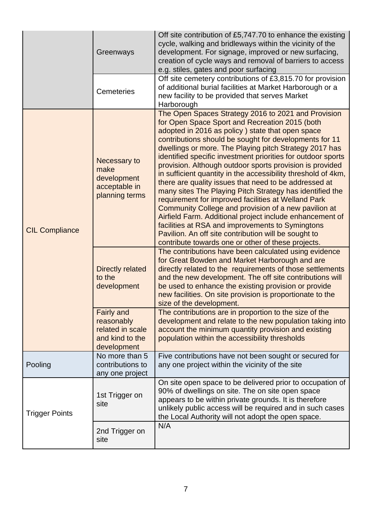|                       | Greenways                                                                             | Off site contribution of £5,747.70 to enhance the existing<br>cycle, walking and bridleways within the vicinity of the<br>development. For signage, improved or new surfacing,<br>creation of cycle ways and removal of barriers to access<br>e.g. stiles, gates and poor surfacing                                                                                                                                                                                                                                                                                                                                                                                                                                                                                                                                                                                                                                                          |
|-----------------------|---------------------------------------------------------------------------------------|----------------------------------------------------------------------------------------------------------------------------------------------------------------------------------------------------------------------------------------------------------------------------------------------------------------------------------------------------------------------------------------------------------------------------------------------------------------------------------------------------------------------------------------------------------------------------------------------------------------------------------------------------------------------------------------------------------------------------------------------------------------------------------------------------------------------------------------------------------------------------------------------------------------------------------------------|
|                       | <b>Cemeteries</b>                                                                     | Off site cemetery contributions of £3,815.70 for provision<br>of additional burial facilities at Market Harborough or a<br>new facility to be provided that serves Market<br>Harborough                                                                                                                                                                                                                                                                                                                                                                                                                                                                                                                                                                                                                                                                                                                                                      |
| <b>CIL Compliance</b> | Necessary to<br>make<br>development<br>acceptable in<br>planning terms                | The Open Spaces Strategy 2016 to 2021 and Provision<br>for Open Space Sport and Recreation 2015 (both<br>adopted in 2016 as policy) state that open space<br>contributions should be sought for developments for 11<br>dwellings or more. The Playing pitch Strategy 2017 has<br>identified specific investment priorities for outdoor sports<br>provision. Although outdoor sports provision is provided<br>in sufficient quantity in the accessibility threshold of 4km,<br>there are quality issues that need to be addressed at<br>many sites The Playing Pitch Strategy has identified the<br>requirement for improved facilities at Welland Park<br>Community College and provision of a new pavilion at<br>Airfield Farm. Additional project include enhancement of<br>facilities at RSA and improvements to Symingtons<br>Pavilion. An off site contribution will be sought to<br>contribute towards one or other of these projects. |
|                       | <b>Directly related</b><br>to the<br>development                                      | The contributions have been calculated using evidence<br>for Great Bowden and Market Harborough and are<br>directly related to the requirements of those settlements<br>and the new development. The off site contributions will<br>be used to enhance the existing provision or provide<br>new facilities. On site provision is proportionate to the<br>size of the development.                                                                                                                                                                                                                                                                                                                                                                                                                                                                                                                                                            |
|                       | <b>Fairly and</b><br>reasonably<br>related in scale<br>and kind to the<br>development | The contributions are in proportion to the size of the<br>development and relate to the new population taking into<br>account the minimum quantity provision and existing<br>population within the accessibility thresholds                                                                                                                                                                                                                                                                                                                                                                                                                                                                                                                                                                                                                                                                                                                  |
| Pooling               | No more than 5<br>contributions to<br>any one project                                 | Five contributions have not been sought or secured for<br>any one project within the vicinity of the site                                                                                                                                                                                                                                                                                                                                                                                                                                                                                                                                                                                                                                                                                                                                                                                                                                    |
| <b>Trigger Points</b> | 1st Trigger on<br>site                                                                | On site open space to be delivered prior to occupation of<br>90% of dwellings on site. The on site open space<br>appears to be within private grounds. It is therefore<br>unlikely public access will be required and in such cases<br>the Local Authority will not adopt the open space.                                                                                                                                                                                                                                                                                                                                                                                                                                                                                                                                                                                                                                                    |
|                       | 2nd Trigger on<br>site                                                                | N/A                                                                                                                                                                                                                                                                                                                                                                                                                                                                                                                                                                                                                                                                                                                                                                                                                                                                                                                                          |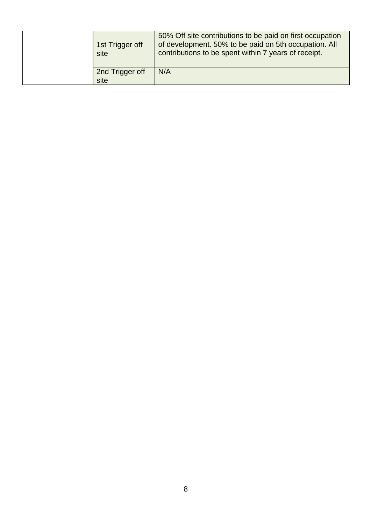| 1st Trigger off<br>site | 50% Off site contributions to be paid on first occupation<br>of development. 50% to be paid on 5th occupation. All<br>contributions to be spent within 7 years of receipt. |
|-------------------------|----------------------------------------------------------------------------------------------------------------------------------------------------------------------------|
| 2nd Trigger off<br>site | N/A                                                                                                                                                                        |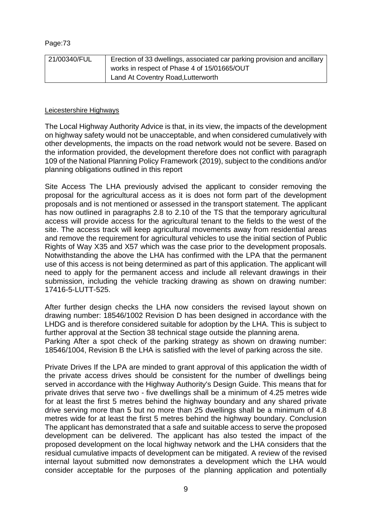| 21/00340/FUL | Erection of 33 dwellings, associated car parking provision and ancillary |
|--------------|--------------------------------------------------------------------------|
|              | works in respect of Phase 4 of 15/01665/OUT                              |
|              | Land At Coventry Road, Lutterworth                                       |

### Leicestershire Highways

The Local Highway Authority Advice is that, in its view, the impacts of the development on highway safety would not be unacceptable, and when considered cumulatively with other developments, the impacts on the road network would not be severe. Based on the information provided, the development therefore does not conflict with paragraph 109 of the National Planning Policy Framework (2019), subject to the conditions and/or planning obligations outlined in this report

Site Access The LHA previously advised the applicant to consider removing the proposal for the agricultural access as it is does not form part of the development proposals and is not mentioned or assessed in the transport statement. The applicant has now outlined in paragraphs 2.8 to 2.10 of the TS that the temporary agricultural access will provide access for the agricultural tenant to the fields to the west of the site. The access track will keep agricultural movements away from residential areas and remove the requirement for agricultural vehicles to use the initial section of Public Rights of Way X35 and X57 which was the case prior to the development proposals. Notwithstanding the above the LHA has confirmed with the LPA that the permanent use of this access is not being determined as part of this application. The applicant will need to apply for the permanent access and include all relevant drawings in their submission, including the vehicle tracking drawing as shown on drawing number: 17416-5-LUTT-525.

After further design checks the LHA now considers the revised layout shown on drawing number: 18546/1002 Revision D has been designed in accordance with the LHDG and is therefore considered suitable for adoption by the LHA. This is subject to further approval at the Section 38 technical stage outside the planning arena. Parking After a spot check of the parking strategy as shown on drawing number: 18546/1004, Revision B the LHA is satisfied with the level of parking across the site.

Private Drives If the LPA are minded to grant approval of this application the width of the private access drives should be consistent for the number of dwellings being served in accordance with the Highway Authority's Design Guide. This means that for private drives that serve two - five dwellings shall be a minimum of 4.25 metres wide for at least the first 5 metres behind the highway boundary and any shared private drive serving more than 5 but no more than 25 dwellings shall be a minimum of 4.8 metres wide for at least the first 5 metres behind the highway boundary. Conclusion The applicant has demonstrated that a safe and suitable access to serve the proposed development can be delivered. The applicant has also tested the impact of the proposed development on the local highway network and the LHA considers that the residual cumulative impacts of development can be mitigated. A review of the revised internal layout submitted now demonstrates a development which the LHA would consider acceptable for the purposes of the planning application and potentially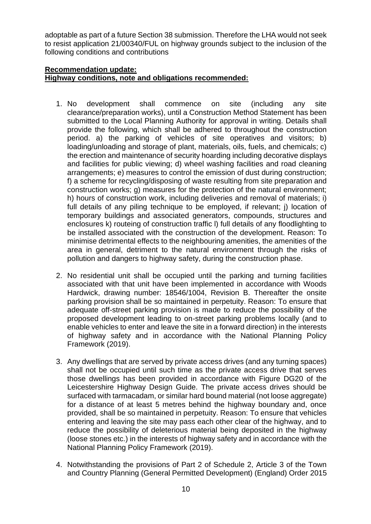adoptable as part of a future Section 38 submission. Therefore the LHA would not seek to resist application 21/00340/FUL on highway grounds subject to the inclusion of the following conditions and contributions

## **Recommendation update: Highway conditions, note and obligations recommended:**

- 1. No development shall commence on site (including any site clearance/preparation works), until a Construction Method Statement has been submitted to the Local Planning Authority for approval in writing. Details shall provide the following, which shall be adhered to throughout the construction period. a) the parking of vehicles of site operatives and visitors; b) loading/unloading and storage of plant, materials, oils, fuels, and chemicals: c) the erection and maintenance of security hoarding including decorative displays and facilities for public viewing; d) wheel washing facilities and road cleaning arrangements; e) measures to control the emission of dust during construction; f) a scheme for recycling/disposing of waste resulting from site preparation and construction works; g) measures for the protection of the natural environment; h) hours of construction work, including deliveries and removal of materials; i) full details of any piling technique to be employed, if relevant; j) location of temporary buildings and associated generators, compounds, structures and enclosures k) routeing of construction traffic l) full details of any floodlighting to be installed associated with the construction of the development. Reason: To minimise detrimental effects to the neighbouring amenities, the amenities of the area in general, detriment to the natural environment through the risks of pollution and dangers to highway safety, during the construction phase.
- 2. No residential unit shall be occupied until the parking and turning facilities associated with that unit have been implemented in accordance with Woods Hardwick, drawing number: 18546/1004, Revision B. Thereafter the onsite parking provision shall be so maintained in perpetuity. Reason: To ensure that adequate off-street parking provision is made to reduce the possibility of the proposed development leading to on-street parking problems locally (and to enable vehicles to enter and leave the site in a forward direction) in the interests of highway safety and in accordance with the National Planning Policy Framework (2019).
- 3. Any dwellings that are served by private access drives (and any turning spaces) shall not be occupied until such time as the private access drive that serves those dwellings has been provided in accordance with Figure DG20 of the Leicestershire Highway Design Guide. The private access drives should be surfaced with tarmacadam, or similar hard bound material (not loose aggregate) for a distance of at least 5 metres behind the highway boundary and, once provided, shall be so maintained in perpetuity. Reason: To ensure that vehicles entering and leaving the site may pass each other clear of the highway, and to reduce the possibility of deleterious material being deposited in the highway (loose stones etc.) in the interests of highway safety and in accordance with the National Planning Policy Framework (2019).
- 4. Notwithstanding the provisions of Part 2 of Schedule 2, Article 3 of the Town and Country Planning (General Permitted Development) (England) Order 2015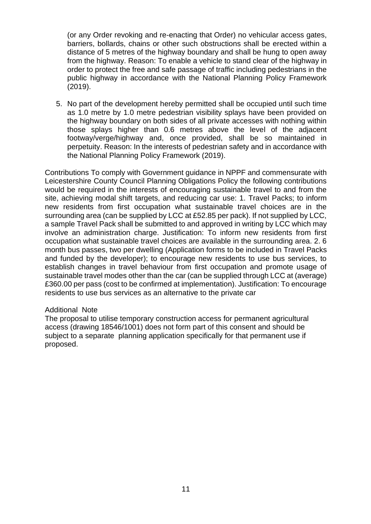(or any Order revoking and re-enacting that Order) no vehicular access gates, barriers, bollards, chains or other such obstructions shall be erected within a distance of 5 metres of the highway boundary and shall be hung to open away from the highway. Reason: To enable a vehicle to stand clear of the highway in order to protect the free and safe passage of traffic including pedestrians in the public highway in accordance with the National Planning Policy Framework (2019).

5. No part of the development hereby permitted shall be occupied until such time as 1.0 metre by 1.0 metre pedestrian visibility splays have been provided on the highway boundary on both sides of all private accesses with nothing within those splays higher than 0.6 metres above the level of the adjacent footway/verge/highway and, once provided, shall be so maintained in perpetuity. Reason: In the interests of pedestrian safety and in accordance with the National Planning Policy Framework (2019).

Contributions To comply with Government guidance in NPPF and commensurate with Leicestershire County Council Planning Obligations Policy the following contributions would be required in the interests of encouraging sustainable travel to and from the site, achieving modal shift targets, and reducing car use: 1. Travel Packs; to inform new residents from first occupation what sustainable travel choices are in the surrounding area (can be supplied by LCC at £52.85 per pack). If not supplied by LCC, a sample Travel Pack shall be submitted to and approved in writing by LCC which may involve an administration charge. Justification: To inform new residents from first occupation what sustainable travel choices are available in the surrounding area. 2. 6 month bus passes, two per dwelling (Application forms to be included in Travel Packs and funded by the developer); to encourage new residents to use bus services, to establish changes in travel behaviour from first occupation and promote usage of sustainable travel modes other than the car (can be supplied through LCC at (average) £360.00 per pass (cost to be confirmed at implementation). Justification: To encourage residents to use bus services as an alternative to the private car

### Additional Note

The proposal to utilise temporary construction access for permanent agricultural access (drawing 18546/1001) does not form part of this consent and should be subject to a separate planning application specifically for that permanent use if proposed.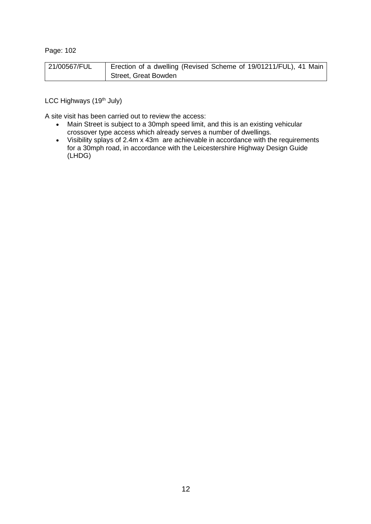| 21/00567/FUL | Erection of a dwelling (Revised Scheme of 19/01211/FUL), 41 Main |
|--------------|------------------------------------------------------------------|
|              | Street, Great Bowden                                             |

LCC Highways (19<sup>th</sup> July)

A site visit has been carried out to review the access:

- Main Street is subject to a 30mph speed limit, and this is an existing vehicular crossover type access which already serves a number of dwellings.
- Visibility splays of 2.4m x 43m are achievable in accordance with the requirements for a 30mph road, in accordance with the Leicestershire Highway Design Guide (LHDG)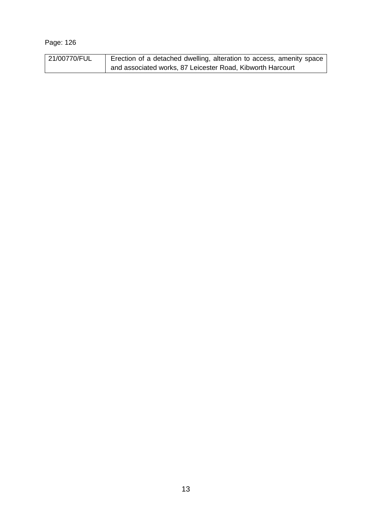| 21/00770/FUL | Erection of a detached dwelling, alteration to access, amenity space |
|--------------|----------------------------------------------------------------------|
|              | and associated works, 87 Leicester Road, Kibworth Harcourt           |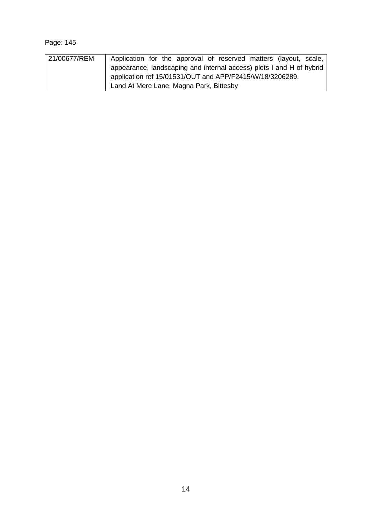| 21/00677/REM | Application for the approval of reserved matters (layout, scale,     |
|--------------|----------------------------------------------------------------------|
|              | appearance, landscaping and internal access) plots I and H of hybrid |
|              | application ref 15/01531/OUT and APP/F2415/W/18/3206289.             |
|              | Land At Mere Lane, Magna Park, Bittesby                              |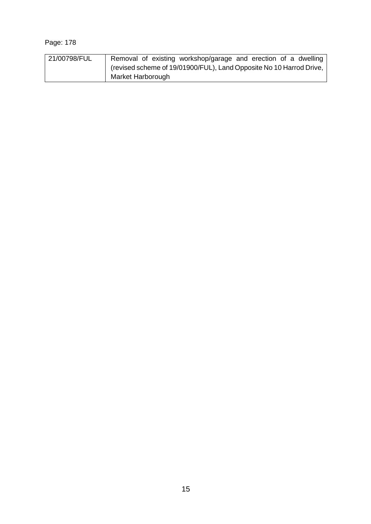| 21/00798/FUL | Removal of existing workshop/garage and erection of a dwelling      |
|--------------|---------------------------------------------------------------------|
|              | (revised scheme of 19/01900/FUL), Land Opposite No 10 Harrod Drive, |
|              | Market Harborough                                                   |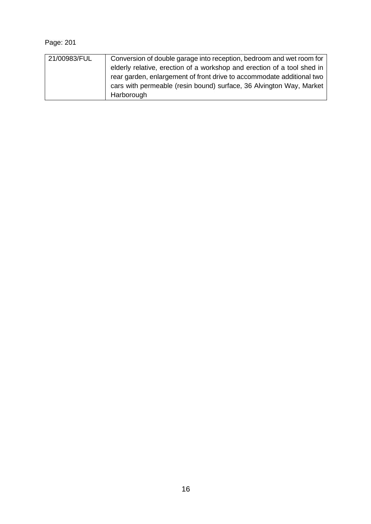| 21/00983/FUL | Conversion of double garage into reception, bedroom and wet room for    |
|--------------|-------------------------------------------------------------------------|
|              | elderly relative, erection of a workshop and erection of a tool shed in |
|              | rear garden, enlargement of front drive to accommodate additional two   |
|              | cars with permeable (resin bound) surface, 36 Alvington Way, Market     |
|              | Harborough                                                              |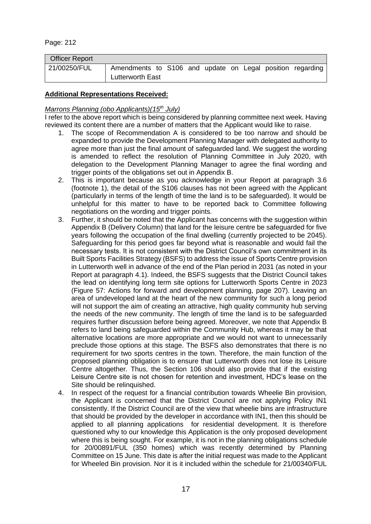| <b>Officer Report</b> |                                                                                      |  |  |  |  |
|-----------------------|--------------------------------------------------------------------------------------|--|--|--|--|
| 21/00250/FUL          | Amendments to S106 and update on Legal position regarding<br><b>Lutterworth East</b> |  |  |  |  |

### **Additional Representations Received:**

### *Marrons Planning (obo Applicants)(15th July)*

I refer to the above report which is being considered by planning committee next week. Having reviewed its content there are a number of matters that the Applicant would like to raise.

- 1. The scope of Recommendation A is considered to be too narrow and should be expanded to provide the Development Planning Manager with delegated authority to agree more than just the final amount of safeguarded land. We suggest the wording is amended to reflect the resolution of Planning Committee in July 2020, with delegation to the Development Planning Manager to agree the final wording and trigger points of the obligations set out in Appendix B.
- 2. This is important because as you acknowledge in your Report at paragraph 3.6 (footnote 1), the detail of the S106 clauses has not been agreed with the Applicant (particularly in terms of the length of time the land is to be safeguarded). It would be unhelpful for this matter to have to be reported back to Committee following negotiations on the wording and trigger points.
- 3. Further, it should be noted that the Applicant has concerns with the suggestion within Appendix B (Delivery Column) that land for the leisure centre be safeguarded for five years following the occupation of the final dwelling (currently projected to be 2045). Safeguarding for this period goes far beyond what is reasonable and would fail the necessary tests. It is not consistent with the District Council's own commitment in its Built Sports Facilities Strategy (BSFS) to address the issue of Sports Centre provision in Lutterworth well in advance of the end of the Plan period in 2031 (as noted in your Report at paragraph 4.1). Indeed, the BSFS suggests that the District Council takes the lead on identifying long term site options for Lutterworth Sports Centre in 2023 (Figure 57: Actions for forward and development planning, page 207). Leaving an area of undeveloped land at the heart of the new community for such a long period will not support the aim of creating an attractive, high quality community hub serving the needs of the new community. The length of time the land is to be safeguarded requires further discussion before being agreed. Moreover, we note that Appendix B refers to land being safeguarded within the Community Hub, whereas it may be that alternative locations are more appropriate and we would not want to unnecessarily preclude those options at this stage. The BSFS also demonstrates that there is no requirement for two sports centres in the town. Therefore, the main function of the proposed planning obligation is to ensure that Lutterworth does not lose its Leisure Centre altogether. Thus, the Section 106 should also provide that if the existing Leisure Centre site is not chosen for retention and investment, HDC's lease on the Site should be relinquished.
- 4. In respect of the request for a financial contribution towards Wheelie Bin provision, the Applicant is concerned that the District Council are not applying Policy IN1 consistently. If the District Council are of the view that wheelie bins are infrastructure that should be provided by the developer in accordance with IN1, then this should be applied to all planning applications for residential development. It is therefore questioned why to our knowledge this Application is the only proposed development where this is being sought. For example, it is not in the planning obligations schedule for 20/00891/FUL (350 homes) which was recently determined by Planning Committee on 15 June. This date is after the initial request was made to the Applicant for Wheeled Bin provision. Nor it is it included within the schedule for 21/00340/FUL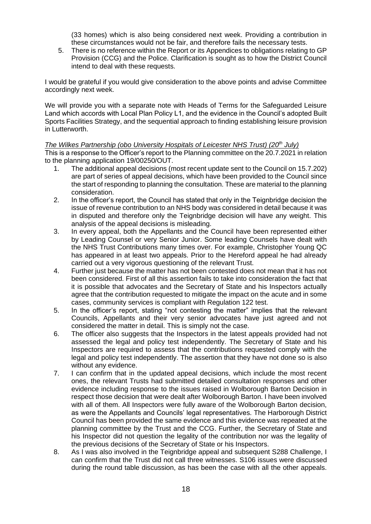(33 homes) which is also being considered next week. Providing a contribution in these circumstances would not be fair, and therefore fails the necessary tests.

5. There is no reference within the Report or its Appendices to obligations relating to GP Provision (CCG) and the Police. Clarification is sought as to how the District Council intend to deal with these requests.

I would be grateful if you would give consideration to the above points and advise Committee accordingly next week.

We will provide you with a separate note with Heads of Terms for the Safeguarded Leisure Land which accords with Local Plan Policy L1, and the evidence in the Council's adopted Built Sports Facilities Strategy, and the sequential approach to finding establishing leisure provision in Lutterworth.

### *The Wilkes Partnership (obo University Hospitals of Leicester NHS Trust) (20th July)*

This is a response to the Officer's report to the Planning committee on the 20.7.2021 in relation to the planning application 19/00250/OUT.

- 1. The additional appeal decisions (most recent update sent to the Council on 15.7.202) are part of series of appeal decisions, which have been provided to the Council since the start of responding to planning the consultation. These are material to the planning consideration.
- 2. In the officer's report, the Council has stated that only in the Teignbridge decision the issue of revenue contribution to an NHS body was considered in detail because it was in disputed and therefore only the Teignbridge decision will have any weight. This analysis of the appeal decisions is misleading.
- 3. In every appeal, both the Appellants and the Council have been represented either by Leading Counsel or very Senior Junior. Some leading Counsels have dealt with the NHS Trust Contributions many times over. For example, Christopher Young QC has appeared in at least two appeals. Prior to the Hereford appeal he had already carried out a very vigorous questioning of the relevant Trust.
- 4. Further just because the matter has not been contested does not mean that it has not been considered. First of all this assertion fails to take into consideration the fact that it is possible that advocates and the Secretary of State and his Inspectors actually agree that the contribution requested to mitigate the impact on the acute and in some cases, community services is compliant with Regulation 122 test.
- 5. In the officer's report, stating "not contesting the matter" implies that the relevant Councils, Appellants and their very senior advocates have just agreed and not considered the matter in detail. This is simply not the case.
- 6. The officer also suggests that the Inspectors in the latest appeals provided had not assessed the legal and policy test independently. The Secretary of State and his Inspectors are required to assess that the contributions requested comply with the legal and policy test independently. The assertion that they have not done so is also without any evidence.
- 7. I can confirm that in the updated appeal decisions, which include the most recent ones, the relevant Trusts had submitted detailed consultation responses and other evidence including response to the issues raised in Wolborough Barton Decision in respect those decision that were dealt after Wolborough Barton. I have been involved with all of them. All Inspectors were fully aware of the Wolborough Barton decision, as were the Appellants and Councils' legal representatives. The Harborough District Council has been provided the same evidence and this evidence was repeated at the planning committee by the Trust and the CCG. Further, the Secretary of State and his Inspector did not question the legality of the contribution nor was the legality of the previous decisions of the Secretary of State or his Inspectors.
- 8. As I was also involved in the Teignbridge appeal and subsequent S288 Challenge, I can confirm that the Trust did not call three witnesses. S106 issues were discussed during the round table discussion, as has been the case with all the other appeals.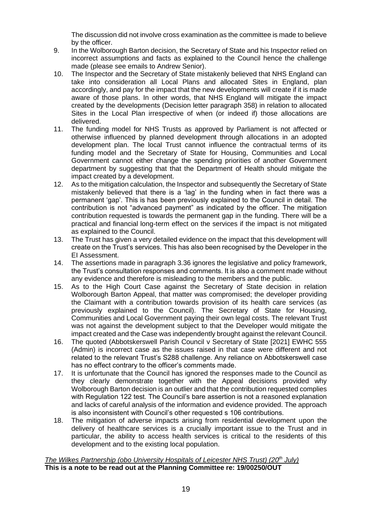The discussion did not involve cross examination as the committee is made to believe by the officer.

- 9. In the Wolborough Barton decision, the Secretary of State and his Inspector relied on incorrect assumptions and facts as explained to the Council hence the challenge made (please see emails to Andrew Senior).
- 10. The Inspector and the Secretary of State mistakenly believed that NHS England can take into consideration all Local Plans and allocated Sites in England, plan accordingly, and pay for the impact that the new developments will create if it is made aware of those plans. In other words, that NHS England will mitigate the impact created by the developments (Decision letter paragraph 358) in relation to allocated Sites in the Local Plan irrespective of when (or indeed if) those allocations are delivered.
- 11. The funding model for NHS Trusts as approved by Parliament is not affected or otherwise influenced by planned development through allocations in an adopted development plan. The local Trust cannot influence the contractual terms of its funding model and the Secretary of State for Housing, Communities and Local Government cannot either change the spending priorities of another Government department by suggesting that that the Department of Health should mitigate the impact created by a development.
- 12. As to the mitigation calculation, the Inspector and subsequently the Secretary of State mistakenly believed that there is a 'lag' in the funding when in fact there was a permanent 'gap'. This is has been previously explained to the Council in detail. The contribution is not "advanced payment" as indicated by the officer. The mitigation contribution requested is towards the permanent gap in the funding. There will be a practical and financial long-term effect on the services if the impact is not mitigated as explained to the Council.
- 13. The Trust has given a very detailed evidence on the impact that this development will create on the Trust's services. This has also been recognised by the Developer in the EI Assessment.
- 14. The assertions made in paragraph 3.36 ignores the legislative and policy framework, the Trust's consultation responses and comments. It is also a comment made without any evidence and therefore is misleading to the members and the public.
- 15. As to the High Court Case against the Secretary of State decision in relation Wolborough Barton Appeal, that matter was compromised; the developer providing the Claimant with a contribution towards provision of its health care services (as previously explained to the Council). The Secretary of State for Housing, Communities and Local Government paying their own legal costs. The relevant Trust was not against the development subject to that the Developer would mitigate the impact created and the Case was independently brought against the relevant Council.
- 16. The quoted (Abbotskerswell Parish Council v Secretary of State [2021] EWHC 555 (Admin) is incorrect case as the issues raised in that case were different and not related to the relevant Trust's S288 challenge. Any reliance on Abbotskerswell case has no effect contrary to the officer's comments made.
- 17. It is unfortunate that the Council has ignored the responses made to the Council as they clearly demonstrate together with the Appeal decisions provided why Wolborough Barton decision is an outlier and that the contribution requested complies with Regulation 122 test. The Council's bare assertion is not a reasoned explanation and lacks of careful analysis of the information and evidence provided. The approach is also inconsistent with Council's other requested s 106 contributions.
- 18. The mitigation of adverse impacts arising from residential development upon the delivery of healthcare services is a crucially important issue to the Trust and in particular, the ability to access health services is critical to the residents of this development and to the existing local population.

## *The Wilkes Partnership (obo University Hospitals of Leicester NHS Trust) (20th July)* **This is a note to be read out at the Planning Committee re: 19/00250/OUT**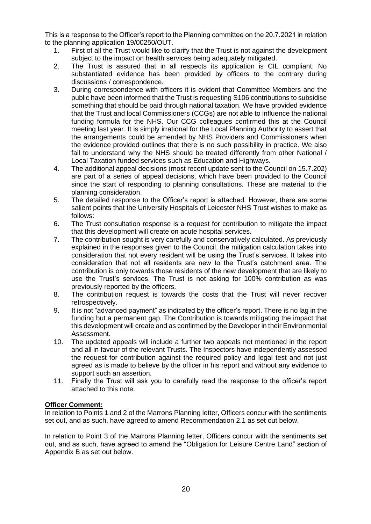This is a response to the Officer's report to the Planning committee on the 20.7.2021 in relation to the planning application 19/00250/OUT.

- 1. First of all the Trust would like to clarify that the Trust is not against the development subject to the impact on health services being adequately mitigated.
- 2. The Trust is assured that in all respects its application is CIL compliant. No substantiated evidence has been provided by officers to the contrary during discussions / correspondence.
- 3. During correspondence with officers it is evident that Committee Members and the public have been informed that the Trust is requesting S106 contributions to subsidise something that should be paid through national taxation. We have provided evidence that the Trust and local Commissioners (CCGs) are not able to influence the national funding formula for the NHS. Our CCG colleagues confirmed this at the Council meeting last year. It is simply irrational for the Local Planning Authority to assert that the arrangements could be amended by NHS Providers and Commissioners when the evidence provided outlines that there is no such possibility in practice. We also fail to understand why the NHS should be treated differently from other National / Local Taxation funded services such as Education and Highways.
- 4. The additional appeal decisions (most recent update sent to the Council on 15.7.202) are part of a series of appeal decisions, which have been provided to the Council since the start of responding to planning consultations. These are material to the planning consideration.
- 5. The detailed response to the Officer's report is attached. However, there are some salient points that the University Hospitals of Leicester NHS Trust wishes to make as follows:
- 6. The Trust consultation response is a request for contribution to mitigate the impact that this development will create on acute hospital services.
- 7. The contribution sought is very carefully and conservatively calculated. As previously explained in the responses given to the Council, the mitigation calculation takes into consideration that not every resident will be using the Trust's services. It takes into consideration that not all residents are new to the Trust's catchment area. The contribution is only towards those residents of the new development that are likely to use the Trust's services. The Trust is not asking for 100% contribution as was previously reported by the officers.
- 8. The contribution request is towards the costs that the Trust will never recover retrospectively.
- 9. It is not "advanced payment" as indicated by the officer's report. There is no lag in the funding but a permanent gap. The Contribution is towards mitigating the impact that this development will create and as confirmed by the Developer in their Environmental Assessment.
- 10. The updated appeals will include a further two appeals not mentioned in the report and all in favour of the relevant Trusts. The Inspectors have independently assessed the request for contribution against the required policy and legal test and not just agreed as is made to believe by the officer in his report and without any evidence to support such an assertion.
- 11. Finally the Trust will ask you to carefully read the response to the officer's report attached to this note.

### **Officer Comment:**

In relation to Points 1 and 2 of the Marrons Planning letter, Officers concur with the sentiments set out, and as such, have agreed to amend Recommendation 2.1 as set out below.

In relation to Point 3 of the Marrons Planning letter, Officers concur with the sentiments set out, and as such, have agreed to amend the "Obligation for Leisure Centre Land" section of Appendix B as set out below.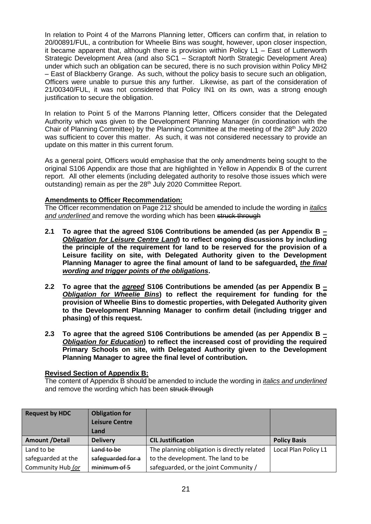In relation to Point 4 of the Marrons Planning letter, Officers can confirm that, in relation to 20/00891/FUL, a contribution for Wheelie Bins was sought, however, upon closer inspection, it became apparent that, although there is provision within Policy L1 – East of Lutterworth Strategic Development Area (and also SC1 – Scraptoft North Strategic Development Area) under which such an obligation can be secured, there is no such provision within Policy MH2 – East of Blackberry Grange. As such, without the policy basis to secure such an obligation, Officers were unable to pursue this any further. Likewise, as part of the consideration of 21/00340/FUL, it was not considered that Policy IN1 on its own, was a strong enough justification to secure the obligation.

In relation to Point 5 of the Marrons Planning letter, Officers consider that the Delegated Authority which was given to the Development Planning Manager (in coordination with the Chair of Planning Committee) by the Planning Committee at the meeting of the 28<sup>th</sup> July 2020 was sufficient to cover this matter. As such, it was not considered necessary to provide an update on this matter in this current forum.

As a general point, Officers would emphasise that the only amendments being sought to the original S106 Appendix are those that are highlighted in Yellow in Appendix B of the current report. All other elements (including delegated authority to resolve those issues which were outstanding) remain as per the 28<sup>th</sup> July 2020 Committee Report.

### **Amendments to Officer Recommendation:**

The Officer recommendation on Page 212 should be amended to include the wording in *italics and underlined* and remove the wording which has been struck through

- **2.1 To agree that the agreed S106 Contributions be amended (as per Appendix B** *– Obligation for Leisure Centre Land***) to reflect ongoing discussions by including the principle of the requirement for land to be reserved for the provision of a Leisure facility on site, with Delegated Authority given to the Development Planning Manager to agree the final amount of land to be safeguarded***, the final wording and trigger points of the obligations***.**
- **2.2 To agree that the** *agreed* **S106 Contributions be amended (as per Appendix B** *– Obligation for Wheelie Bins***) to reflect the requirement for funding for the provision of Wheelie Bins to domestic properties, with Delegated Authority given to the Development Planning Manager to confirm detail (including trigger and phasing) of this request.**
- **2.3 To agree that the agreed S106 Contributions be amended (as per Appendix B** *– Obligation for Education***) to reflect the increased cost of providing the required Primary Schools on site, with Delegated Authority given to the Development Planning Manager to agree the final level of contribution.**

### **Revised Section of Appendix B:**

The content of Appendix B should be amended to include the wording in *italics and underlined*  and remove the wording which has been struck through

| <b>Request by HDC</b> | <b>Obligation for</b><br><b>Leisure Centre</b><br>Land |                                             |                      |
|-----------------------|--------------------------------------------------------|---------------------------------------------|----------------------|
| <b>Amount /Detail</b> | <b>Delivery</b>                                        | <b>CIL Justification</b>                    | <b>Policy Basis</b>  |
| Land to be            | Land to be                                             | The planning obligation is directly related | Local Plan Policy L1 |
| safeguarded at the    | safeguarded for a                                      | to the development. The land to be          |                      |
| Community Hub (or     | minimum of 5                                           | safeguarded, or the joint Community /       |                      |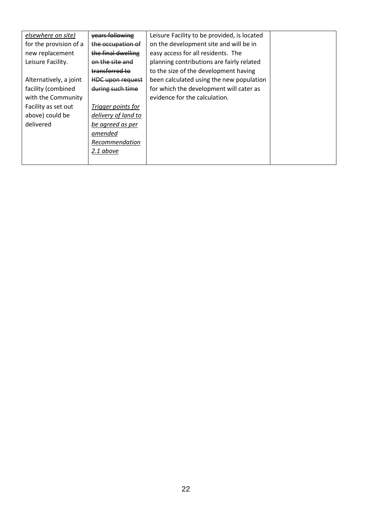| elsewhere on site)     | years following         | Leisure Facility to be provided, is located |  |
|------------------------|-------------------------|---------------------------------------------|--|
| for the provision of a | the occupation of       | on the development site and will be in      |  |
| new replacement        | the final dwelling      | easy access for all residents. The          |  |
| Leisure Facility.      | on the site and         | planning contributions are fairly related   |  |
|                        | transferred to          | to the size of the development having       |  |
| Alternatively, a joint | <b>HDC upon request</b> | been calculated using the new population    |  |
| facility (combined     | during such time        | for which the development will cater as     |  |
| with the Community     |                         | evidence for the calculation.               |  |
| Facility as set out    | Trigger points for      |                                             |  |
| above) could be        | delivery of land to     |                                             |  |
| delivered              | be agreed as per        |                                             |  |
|                        | amended                 |                                             |  |
|                        | Recommendation          |                                             |  |
|                        | 2.1 above               |                                             |  |
|                        |                         |                                             |  |